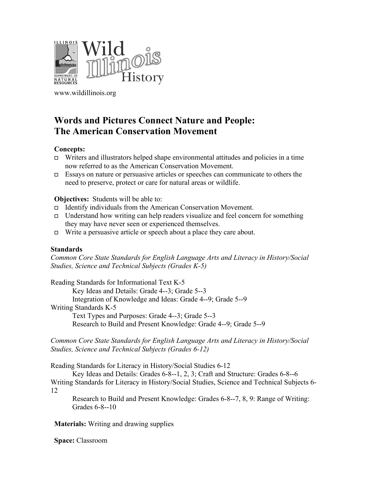

[www.wildillinois.org](http://www.wildillinois.org/)

# **Words and Pictures Connect Nature and People: The American Conservation Movement**

## **Concepts:**

- $\Box$  Writers and illustrators helped shape environmental attitudes and policies in a time now referred to as the American Conservation Movement.
- Essays on nature or persuasive articles or speeches can communicate to others the need to preserve, protect or care for natural areas or wildlife.

## **Objectives:** Students will be able to:

- Identify individuals from the American Conservation Movement.
- $\Box$  Understand how writing can help readers visualize and feel concern for something they may have never seen or experienced themselves.
- $\Box$  Write a persuasive article or speech about a place they care about.

## **Standards**

*Common Core State Standards for English Language Arts and Literacy in History/Social Studies, Science and Technical Subjects (Grades K-5)*

Reading Standards for Informational Text K-5 Key Ideas and Details: Grade 4--3; Grade 5--3 Integration of Knowledge and Ideas: Grade 4--9; Grade 5--9 Writing Standards K-5 Text Types and Purposes: Grade 4--3; Grade 5--3 Research to Build and Present Knowledge: Grade 4--9; Grade 5--9

*Common Core State Standards for English Language Arts and Literacy in History/Social Studies, Science and Technical Subjects (Grades 6-12)*

Reading Standards for Literacy in History/Social Studies 6-12

Key Ideas and Details: Grades 6-8--1, 2, 3; Craft and Structure: Grades 6-8--6 Writing Standards for Literacy in History/Social Studies, Science and Technical Subjects 6- 12

Research to Build and Present Knowledge: Grades 6-8--7, 8, 9: Range of Writing: Grades 6-8--10

**Materials:** Writing and drawing supplies

**Space:** Classroom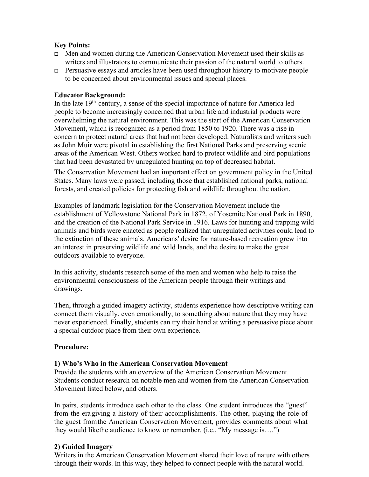# **Key Points:**

- Men and women during the American Conservation Movement used their skills as writers and illustrators to communicate their passion of the natural world to others.
- Persuasive essays and articles have been used throughout history to motivate people to be concerned about environmental issues and special places.

# **Educator Background:**

In the late 19th-century, a sense of the special importance of nature for America led people to become increasingly concerned that urban life and industrial products were overwhelming the natural environment. This was the start of the American Conservation Movement, which is recognized as a period from 1850 to 1920. There was a rise in concern to protect natural areas that had not been developed. Naturalists and writers such as John Muir were pivotal in establishing the first National Parks and preserving scenic areas of the American West. Others worked hard to protect wildlife and bird populations that had been devastated by unregulated hunting on top of decreased habitat.

The Conservation Movement had an important effect on government policy in the United States. Many laws were passed, including those that established national parks, national forests, and created policies for protecting fish and wildlife throughout the nation.

Examples of landmark legislation for the Conservation Movement include the establishment of Yellowstone National Park in 1872, of Yosemite National Park in 1890, and the creation of the National Park Service in 1916. Laws for hunting and trapping wild animals and birds were enacted as people realized that unregulated activities could lead to the extinction of these animals. Americans' desire for nature-based recreation grew into an interest in preserving wildlife and wild lands, and the desire to make the great outdoors available to everyone.

In this activity, students research some of the men and women who help to raise the environmental consciousness of the American people through their writings and drawings.

Then, through a guided imagery activity, students experience how descriptive writing can connect them visually, even emotionally, to something about nature that they may have never experienced. Finally, students can try their hand at writing a persuasive piece about a special outdoor place from their own experience.

# **Procedure:**

# **1) Who's Who in the American Conservation Movement**

Provide the students with an overview of the American Conservation Movement. Students conduct research on notable men and women from the American Conservation Movement listed below, and others.

In pairs, students introduce each other to the class. One student introduces the "guest" from the eragiving a history of their accomplishments. The other, playing the role of the guest fromthe American Conservation Movement, provides comments about what they would likethe audience to know or remember. (i.e., "My message is….")

# **2) Guided Imagery**

Writers in the American Conservation Movement shared their love of nature with others through their words. In this way, they helped to connect people with the natural world.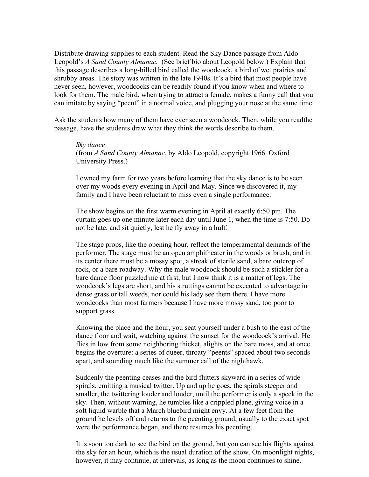Distribute drawing supplies to each student. Read the Sky Dance passage from Aldo Leopold's *A Sand County Almanac.* (See brief bio about Leopold below.) Explain that this passage describes a long-billed bird called the woodcock, a bird of wet prairies and shrubby areas. The story was written in the late 1940s. It's a bird that most people have never seen, however, woodcocks can be readily found if you know when and where to look for them. The male bird, when trying to attract a female, makes a funny call that you can imitate by saying "peent" in a normal voice, and plugging your nose at the same time.

Ask the students how many of them have ever seen a woodcock. Then, while you readthe passage, have the students draw what they think the words describe to them.

*Sky dance* (from *A Sand County Almanac*, by Aldo Leopold, copyright 1966. Oxford University Press.)

I owned my farm for two years before learning that the sky dance is to be seen over my woods every evening in April and May. Since we discovered it, my family and I have been reluctant to miss even a single performance.

The show begins on the first warm evening in April at exactly 6:50 pm. The curtain goes up one minute later each day until June 1, when the time is 7:50. Do not be late, and sit quietly, lest he fly away in a huff.

The stage props, like the opening hour, reflect the temperamental demands of the performer. The stage must be an open amphitheater in the woods or brush, and in its center there must be a mossy spot, a streak of sterile sand, a bare outcrop of rock, or a bare roadway. Why the male woodcock should be such a stickler for a bare dance floor puzzled me at first, but I now think it is a matter of legs. The woodcock's legs are short, and his struttings cannot be executed to advantage in dense grass or tall weeds, nor could his lady see them there. I have more woodcocks than most farmers because I have more mossy sand, too poor to support grass.

Knowing the place and the hour, you seat yourself under a bush to the east of the dance floor and wait, watching against the sunset for the woodcock's arrival. He flies in low from some neighboring thicket, alights on the bare moss, and at once begins the overture: a series of queer, throaty "peents" spaced about two seconds apart, and sounding much like the summer call of the nighthawk.

Suddenly the peenting ceases and the bird flutters skyward in a series of wide spirals, emitting a musical twitter. Up and up he goes, the spirals steeper and smaller, the twittering louder and louder, until the performer is only a speck in the sky. Then, without warning, he tumbles like a crippled plane, giving voice in a soft liquid warble that a March bluebird might envy. At a few feet from the ground he levels off and returns to the peenting ground, usually to the exact spot were the performance began, and there resumes his peenting.

It is soon too dark to see the bird on the ground, but you can see his flights against the sky for an hour, which is the usual duration of the show. On moonlight nights, however, it may continue, at intervals, as long as the moon continues to shine.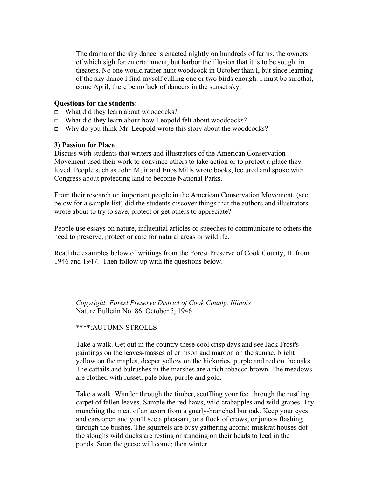The drama of the sky dance is enacted nightly on hundreds of farms, the owners of which sigh for entertainment, but harbor the illusion that it is to be sought in theaters. No one would rather hunt woodcock in October than I, but since learning of the sky dance I find myself culling one or two birds enough. I must be surethat, come April, there be no lack of dancers in the sunset sky.

#### **Questions for the students:**

- □ What did they learn about woodcocks?
- What did they learn about how Leopold felt about woodcocks?
- $\Box$  Why do you think Mr. Leopold wrote this story about the woodcocks?

#### **3) Passion for Place**

Discuss with students that writers and illustrators of the American Conservation Movement used their work to convince others to take action or to protect a place they loved. People such as John Muir and Enos Mills wrote books, lectured and spoke with Congress about protecting land to become National Parks.

From their research on important people in the American Conservation Movement, (see below for a sample list) did the students discover things that the authors and illustrators wrote about to try to save, protect or get others to appreciate?

People use essays on nature, influential articles or speeches to communicate to others the need to preserve, protect or care for natural areas or wildlife.

Read the examples below of writings from the Forest Preserve of Cook County, IL from 1946 and 1947. Then follow up with the questions below.

*Copyright: Forest Preserve District of Cook County, Illinois* Nature Bulletin No. 86 October 5, 1946

\*\*\*\*:AUTUMN STROLLS

Take a walk. Get out in the country these cool crisp days and see Jack Frost's paintings on the leaves-masses of crimson and maroon on the sumac, bright yellow on the maples, deeper yellow on the hickories, purple and red on the oaks. The cattails and bulrushes in the marshes are a rich tobacco brown. The meadows are clothed with russet, pale blue, purple and gold.

Take a walk. Wander through the timber, scuffling your feet through the rustling carpet of fallen leaves. Sample the red haws, wild crabapples and wild grapes. Try munching the meat of an acorn from a gnarly-branched bur oak. Keep your eyes and ears open and you'll see a pheasant, or a flock of crows, or juncos flashing through the bushes. The squirrels are busy gathering acorns; muskrat houses dot the sloughs wild ducks are resting or standing on their heads to feed in the ponds. Soon the geese will come; then winter.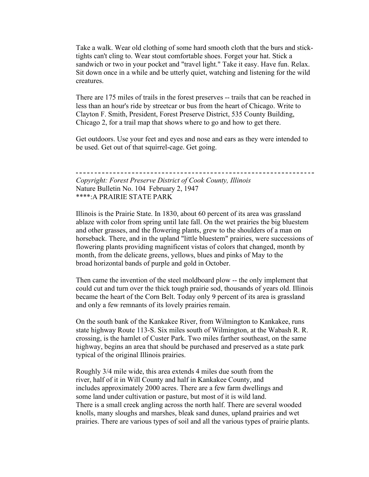Take a walk. Wear old clothing of some hard smooth cloth that the burs and sticktights can't cling to. Wear stout comfortable shoes. Forget your hat. Stick a sandwich or two in your pocket and "travel light." Take it easy. Have fun. Relax. Sit down once in a while and be utterly quiet, watching and listening for the wild creatures.

There are 175 miles of trails in the forest preserves -- trails that can be reached in less than an hour's ride by streetcar or bus from the heart of Chicago. Write to Clayton F. Smith, President, Forest Preserve District, 535 County Building, Chicago 2, for a trail map that shows where to go and how to get there.

Get outdoors. Use your feet and eyes and nose and ears as they were intended to be used. Get out of that squirrel-cage. Get going.

#### *Copyright: Forest Preserve District of Cook County, Illinois* Nature Bulletin No. 104 February 2, 1947 \*\*\*\*:A PRAIRIE STATE PARK

Illinois is the Prairie State. In 1830, about 60 percent of its area was grassland ablaze with color from spring until late fall. On the wet prairies the big bluestem and other grasses, and the flowering plants, grew to the shoulders of a man on horseback. There, and in the upland "little bluestem" prairies, were successions of flowering plants providing magnificent vistas of colors that changed, month by month, from the delicate greens, yellows, blues and pinks of May to the broad horizontal bands of purple and gold in October.

Then came the invention of the steel moldboard plow -- the only implement that could cut and turn over the thick tough prairie sod, thousands of years old. Illinois became the heart of the Corn Belt. Today only 9 percent of its area is grassland and only a few remnants of its lovely prairies remain.

On the south bank of the Kankakee River, from Wilmington to Kankakee, runs state highway Route 113-S. Six miles south of Wilmington, at the Wabash R. R. crossing, is the hamlet of Custer Park. Two miles farther southeast, on the same highway, begins an area that should be purchased and preserved as a state park typical of the original Illinois prairies.

Roughly 3/4 mile wide, this area extends 4 miles due south from the river, half of it in Will County and half in Kankakee County, and includes approximately 2000 acres. There are a few farm dwellings and some land under cultivation or pasture, but most of it is wild land. There is a small creek angling across the north half. There are several wooded knolls, many sloughs and marshes, bleak sand dunes, upland prairies and wet prairies. There are various types of soil and all the various types of prairie plants.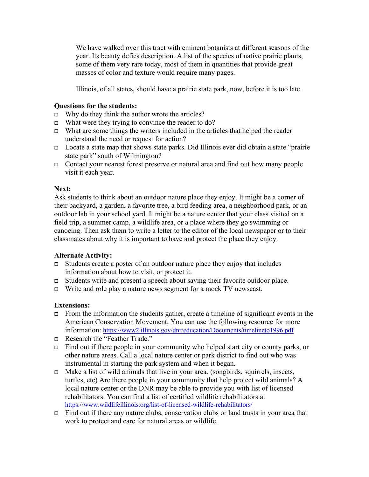We have walked over this tract with eminent botanists at different seasons of the year. Its beauty defies description. A list of the species of native prairie plants, some of them very rare today, most of them in quantities that provide great masses of color and texture would require many pages.

Illinois, of all states, should have a prairie state park, now, before it is too late.

## **Questions for the students:**

- $\Box$  Why do they think the author wrote the articles?
- $\Box$  What were they trying to convince the reader to do?
- What are some things the writers included in the articles that helped the reader understand the need or request for action?
- Locate a state map that shows state parks. Did Illinois ever did obtain a state "prairie state park" south of Wilmington?
- Contact your nearest forest preserve or natural area and find out how many people visit it each year.

## **Next:**

Ask students to think about an outdoor nature place they enjoy. It might be a corner of their backyard, a garden, a favorite tree, a bird feeding area, a neighborhood park, or an outdoor lab in your school yard. It might be a nature center that your class visited on a field trip, a summer camp, a wildlife area, or a place where they go swimming or canoeing. Then ask them to write a letter to the editor of the local newspaper or to their classmates about why it is important to have and protect the place they enjoy.

## **Alternate Activity:**

- Students create a poster of an outdoor nature place they enjoy that includes information about how to visit, or protect it.
- Students write and present a speech about saving their favorite outdoor place.
- $\Box$  Write and role play a nature news segment for a mock TV newscast.

## **Extensions:**

- $\Box$  From the information the students gather, create a timeline of significant events in the American Conservation Movement. You can use the following resource for more information:<https://www2.illinois.gov/dnr/education/Documents/timelineto1996.pdf>
- Research the "Feather Trade."
- $\Box$  Find out if there people in your community who helped start city or county parks, or other nature areas. Call a local nature center or park district to find out who was instrumental in starting the park system and when it began.
- $\Box$  Make a list of wild animals that live in your area. (songbirds, squirrels, insects, turtles, etc) Are there people in your community that help protect wild animals? A local nature center or the DNR may be able to provide you with list of licensed rehabilitators. You can find a list of certified wildlife rehabilitators at <https://www.wildlifeillinois.org/list-of-licensed-wildlife-rehabilitators/>
- $\Box$  Find out if there any nature clubs, conservation clubs or land trusts in your area that work to protect and care for natural areas or wildlife.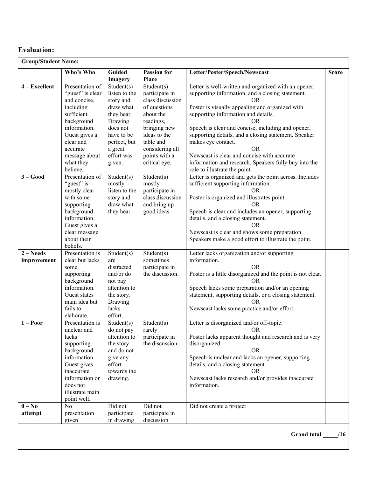# **Evaluation:**

 $\blacksquare$ 

| <b>Group/Student Name:</b> |                      |                           |                                   |                                                             |              |
|----------------------------|----------------------|---------------------------|-----------------------------------|-------------------------------------------------------------|--------------|
|                            | Who's Who            | Guided                    | <b>Passion for</b>                | Letter/Poster/Speech/Newscast                               | <b>Score</b> |
|                            |                      | Imagery                   | <b>Place</b>                      |                                                             |              |
| $4 - Excellent$            | Presentation of      | Student(s)                | Student(s)                        | Letter is well-written and organized with an opener,        |              |
|                            | "guest" is clear     | listen to the             | participate in                    | supporting information, and a closing statement.            |              |
|                            | and concise,         | story and                 | class discussion                  | OR                                                          |              |
|                            | including            | draw what                 | of questions                      | Poster is visually appealing and organized with             |              |
|                            | sufficient           | they hear.                | about the                         | supporting information and details.                         |              |
|                            | background           | Drawing                   | readings,                         | OR                                                          |              |
|                            | information.         | does not                  | bringing new                      | Speech is clear and concise, including and opener,          |              |
|                            | Guest gives a        | have to be                | ideas to the                      | supporting details, and a closing statement. Speaker        |              |
|                            | clear and            | perfect, but              | table and                         | makes eye contact.                                          |              |
|                            | accurate             | a great                   | considering all                   | <b>OR</b>                                                   |              |
|                            | message about        | effort was                | points with a                     | Newscast is clear and concise with accurate                 |              |
|                            | what they            | given.                    | critical eye.                     | information and research. Speakers fully buy into the       |              |
|                            | believe.             |                           |                                   | role to illustrate the point.                               |              |
| $3 - Good$                 | Presentation of      | Student(s)                | Student(s)                        | Letter is organized and gets the point across. Includes     |              |
|                            | "guest" is           | mostly                    | mostly                            | sufficient supporting information.                          |              |
|                            | mostly clear         | listen to the             | participate in                    | OR                                                          |              |
|                            | with some            | story and                 | class discussion                  | Poster is organized and illustrates point.                  |              |
|                            | supporting           | draw what                 | and bring up                      | <b>OR</b>                                                   |              |
|                            | background           | they hear.                | good ideas.                       | Speech is clear and includes an opener, supporting          |              |
|                            | information.         |                           |                                   | details, and a closing statement.                           |              |
|                            | Guest gives a        |                           |                                   | <b>OR</b>                                                   |              |
|                            | clear message        |                           |                                   | Newscast is clear and shows some preparation.               |              |
|                            | about their          |                           |                                   | Speakers make a good effort to illustrate the point.        |              |
|                            | beliefs.             |                           |                                   |                                                             |              |
| $2 - Needs$                | Presentation is      | Student(s)                | Student(s)                        | Letter lacks organization and/or supporting                 |              |
| improvement                | clear but lacks      | are                       | sometimes                         | information.                                                |              |
|                            | some                 | distracted                | participate in                    | <b>OR</b>                                                   |              |
|                            | supporting           | and/or do                 | the discussion.                   | Poster is a little disorganized and the point is not clear. |              |
|                            | background           | not pay                   |                                   | <b>OR</b>                                                   |              |
|                            | information.         | attention to              |                                   | Speech lacks some preparation and/or an opening             |              |
|                            | Guest states         | the story.                |                                   | statement, supporting details, or a closing statement.      |              |
|                            | main idea but        | Drawing<br>lacks          |                                   | OR                                                          |              |
|                            | fails to             |                           |                                   | Newscast lacks some practice and/or effort.                 |              |
|                            | elaborate.           | effort.                   |                                   |                                                             |              |
| $1 - Poor$                 | Presentation is      | Student(s)                | Student(s)                        | Letter is disorganized and/or off-topic.<br><b>OR</b>       |              |
|                            | unclear and<br>lacks | do not pay                | rarely                            | Poster lacks apparent thought and research and is very      |              |
|                            | supporting           | attention to<br>the story | participate in<br>the discussion. | disorganized.                                               |              |
|                            | background           | and do not                |                                   | <b>OR</b>                                                   |              |
|                            | information.         | give any                  |                                   | Speech is unclear and lacks an opener, supporting           |              |
|                            | Guest gives          | effort                    |                                   | details, and a closing statement.                           |              |
|                            | inaccurate           | towards the               |                                   | OR.                                                         |              |
|                            | information or       | drawing.                  |                                   | Newscast lacks research and/or provides inaccurate          |              |
|                            | does not             |                           |                                   | information.                                                |              |
|                            | illustrate main      |                           |                                   |                                                             |              |
|                            | point well.          |                           |                                   |                                                             |              |
| $0 - No$                   | N <sub>0</sub>       | Did not                   | Did not                           | Did not create a project                                    |              |
| attempt                    | presentation         | participate               | participate in                    |                                                             |              |
|                            | given                | in drawing                | discussion                        |                                                             |              |
|                            |                      |                           |                                   |                                                             |              |
| <b>Grand</b> total<br>/16  |                      |                           |                                   |                                                             |              |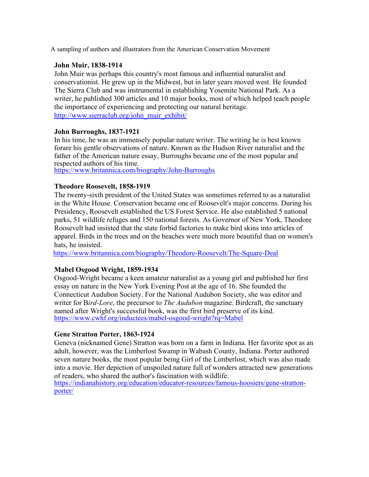A sampling of authors and illustrators from the American Conservation Movement

## **John Muir, 1838-1914**

John Muir was perhaps this country's most famous and influential naturalist and conservationist. He grew up in the Midwest, but in later years moved west. He founded The Sierra Club and was instrumental in establishing Yosemite National Park. As a writer, he published 300 articles and 10 major books, most of which helped teach people the importance of experiencing and protecting our natural heritage. [http://www.sierraclub.org/john\\_muir\\_exhibit/](http://www.sierraclub.org/john_muir_exhibit/)

## **John Burroughs, 1837-1921**

In his time, he was an immensely popular nature writer. The writing he is best known forare his gentle observations of nature. Known as the Hudson River naturalist and the father of the American nature essay, Burroughs became one of the most popular and respected authors of his time.

[https://www.britannica.com/biography/John-Burroughs](http://www.britannica.com/biography/John-Burroughs)

## **Theodore Roosevelt, 1858-1919**

The twenty-sixth president of the United States was sometimes referred to as a naturalist in the White House. Conservation became one of Roosevelt's major concerns. During his Presidency, Roosevelt established the US Forest Service. He also established 5 national parks, 51 wildlife refuges and 150 national forests. As Governor of New York, Theodore Roosevelt had insisted that the state forbid factories to make bird skins into articles of apparel. Birds in the trees and on the beaches were much more beautiful than on women's hats, he insisted.

<https://www.britannica.com/biography/Theodore-Roosevelt/The-Square-Deal>

# **Mabel Osgood Wright, 1859-1934**

Osgood-Wright became a keen amateur naturalist as a young girl and published her first essay on nature in the New York Evening Post at the age of 16. She founded the Connecticut Audubon Society. For the National Audubon Society, she was editor and writer for B*ird-Lore*, the precursor to *The Audubon* magazine. Birdcraft, the sanctuary named after Wright's successful book, was the first bird preserve of its kind. [https://www.cwhf.org/inductees/mabel-osgood-wright?rq=Mabel](http://www.cwhf.org/inductees/mabel-osgood-wright?rq=Mabel)

## **Gene Stratton Porter, 1863-1924**

Geneva (nicknamed Gene) Stratton was born on a farm in Indiana. Her favorite spot as an adult, however, was the Limberlost Swamp in Wabash County, Indiana. Porter authored seven nature books, the most popular being Girl of the Limberlost, which was also made into a movie. Her depiction of unspoiled nature full of wonders attracted new generations of readers, who shared the author's fascination with wildlife.

[https://indianahistory.org/education/educator-resources/famous-hoosiers/gene-stratton](https://indianahistory.org/education/educator-resources/famous-hoosiers/gene-stratton-porter/)[porter/](https://indianahistory.org/education/educator-resources/famous-hoosiers/gene-stratton-porter/)